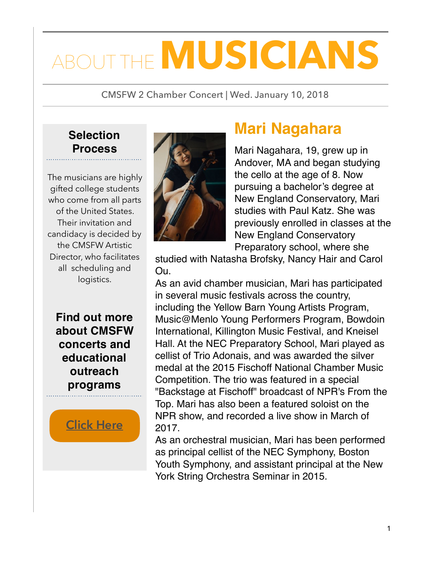# THE **MUSICIANS**

CMSFW 2 Chamber Concert | Wed. January 10, 2018

#### **Selection Process**

The musicians are highly gifted college students who come from all parts of the United States. Their invitation and candidacy is decided by the CMSFW Artistic Director, who facilitates all scheduling and logistics.

**Find out more about CMSFW concerts and educational outreach programs**

**[Click Here](http://www.chambermusicfw.org)**



### **Mari Nagahara**

Mari Nagahara, 19, grew up in Andover, MA and began studying the cello at the age of 8. Now pursuing a bachelor's degree at New England Conservatory, Mari studies with Paul Katz. She was previously enrolled in classes at the New England Conservatory Preparatory school, where she

studied with Natasha Brofsky, Nancy Hair and Carol Ou.

As an avid chamber musician, Mari has participated in several music festivals across the country, including the Yellow Barn Young Artists Program, Music@Menlo Young Performers Program, Bowdoin International, Killington Music Festival, and Kneisel Hall. At the NEC Preparatory School, Mari played as cellist of Trio Adonais, and was awarded the silver medal at the 2015 Fischoff National Chamber Music Competition. The trio was featured in a special "Backstage at Fischoff" broadcast of NPR's From the Top. Mari has also been a featured soloist on the NPR show, and recorded a live show in March of 2017.

As an orchestral musician, Mari has been performed as principal cellist of the NEC Symphony, Boston Youth Symphony, and assistant principal at the New York String Orchestra Seminar in 2015.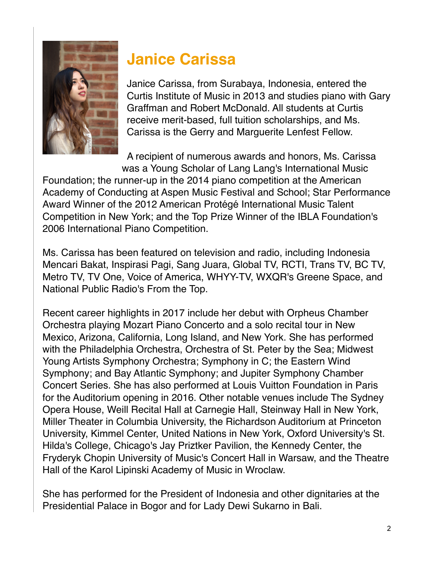

# **Janice Carissa**

Janice Carissa, from Surabaya, Indonesia, entered the Curtis Institute of Music in 2013 and studies piano with Gary Graffman and Robert McDonald. All students at Curtis receive merit-based, full tuition scholarships, and Ms. Carissa is the Gerry and Marguerite Lenfest Fellow.

A recipient of numerous awards and honors, Ms. Carissa was a Young Scholar of Lang Lang's International Music

Foundation; the runner-up in the 2014 piano competition at the American Academy of Conducting at Aspen Music Festival and School; Star Performance Award Winner of the 2012 American Protégé International Music Talent Competition in New York; and the Top Prize Winner of the IBLA Foundation's 2006 International Piano Competition.

Ms. Carissa has been featured on television and radio, including Indonesia Mencari Bakat, Inspirasi Pagi, Sang Juara, Global TV, RCTI, Trans TV, BC TV, Metro TV, TV One, Voice of America, WHYY-TV, WXQR's Greene Space, and National Public Radio's From the Top.

Recent career highlights in 2017 include her debut with Orpheus Chamber Orchestra playing Mozart Piano Concerto and a solo recital tour in New Mexico, Arizona, California, Long Island, and New York. She has performed with the Philadelphia Orchestra, Orchestra of St. Peter by the Sea; Midwest Young Artists Symphony Orchestra; Symphony in C; the Eastern Wind Symphony; and Bay Atlantic Symphony; and Jupiter Symphony Chamber Concert Series. She has also performed at Louis Vuitton Foundation in Paris for the Auditorium opening in 2016. Other notable venues include The Sydney Opera House, Weill Recital Hall at Carnegie Hall, Steinway Hall in New York, Miller Theater in Columbia University, the Richardson Auditorium at Princeton University, Kimmel Center, United Nations in New York, Oxford University's St. Hilda's College, Chicago's Jay Priztker Pavilion, the Kennedy Center, the Fryderyk Chopin University of Music's Concert Hall in Warsaw, and the Theatre Hall of the Karol Lipinski Academy of Music in Wroclaw.

She has performed for the President of Indonesia and other dignitaries at the Presidential Palace in Bogor and for Lady Dewi Sukarno in Bali.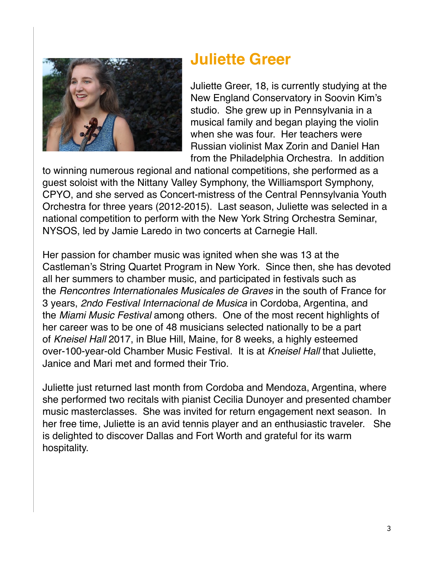

#### **Juliette Greer**

Juliette Greer, 18, is currently studying at the New England Conservatory in Soovin Kim's studio. She grew up in Pennsylvania in a musical family and began playing the violin when she was four. Her teachers were Russian violinist Max Zorin and Daniel Han from the Philadelphia Orchestra. In addition

to winning numerous regional and national competitions, she performed as a guest soloist with the Nittany Valley Symphony, the Williamsport Symphony, CPYO, and she served as Concert-mistress of the Central Pennsylvania Youth Orchestra for three years (2012-2015). Last season, Juliette was selected in a national competition to perform with the New York String Orchestra Seminar, NYSOS, led by Jamie Laredo in two concerts at Carnegie Hall.

Her passion for chamber music was ignited when she was 13 at the Castleman's String Quartet Program in New York. Since then, she has devoted all her summers to chamber music, and participated in festivals such as the *Rencontres Internationales Musicales de Graves* in the south of France for 3 years, *2ndo Festival Internacional de Musica* in Cordoba, Argentina, and the *Miami Music Festival* among others. One of the most recent highlights of her career was to be one of 48 musicians selected nationally to be a part of *Kneisel Hall* 2017, in Blue Hill, Maine, for 8 weeks, a highly esteemed over-100-year-old Chamber Music Festival. It is at *Kneisel Hall* that Juliette, Janice and Mari met and formed their Trio.

Juliette just returned last month from Cordoba and Mendoza, Argentina, where she performed two recitals with pianist Cecilia Dunoyer and presented chamber music masterclasses. She was invited for return engagement next season. In her free time, Juliette is an avid tennis player and an enthusiastic traveler. She is delighted to discover Dallas and Fort Worth and grateful for its warm hospitality.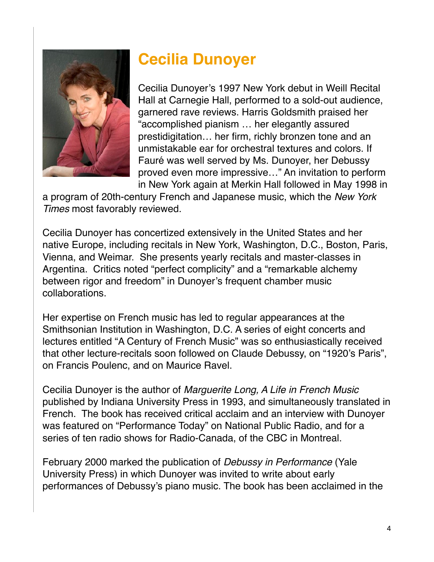

## **Cecilia Dunoyer**

Cecilia Dunoyer's 1997 New York debut in Weill Recital Hall at Carnegie Hall, performed to a sold-out audience, garnered rave reviews. Harris Goldsmith praised her "accomplished pianism … her elegantly assured prestidigitation… her firm, richly bronzen tone and an unmistakable ear for orchestral textures and colors. If Fauré was well served by Ms. Dunoyer, her Debussy proved even more impressive…" An invitation to perform in New York again at Merkin Hall followed in May 1998 in

a program of 20th-century French and Japanese music, which the *New York Times* most favorably reviewed.

Cecilia Dunoyer has concertized extensively in the United States and her native Europe, including recitals in New York, Washington, D.C., Boston, Paris, Vienna, and Weimar. She presents yearly recitals and master-classes in Argentina. Critics noted "perfect complicity" and a "remarkable alchemy between rigor and freedom" in Dunoyer's frequent chamber music collaborations.

Her expertise on French music has led to regular appearances at the Smithsonian Institution in Washington, D.C. A series of eight concerts and lectures entitled "A Century of French Music" was so enthusiastically received that other lecture-recitals soon followed on Claude Debussy, on "1920's Paris", on Francis Poulenc, and on Maurice Ravel.

Cecilia Dunoyer is the author of *Marguerite Long, A Life in French Music* published by Indiana University Press in 1993, and simultaneously translated in French. The book has received critical acclaim and an interview with Dunoyer was featured on "Performance Today" on National Public Radio, and for a series of ten radio shows for Radio-Canada, of the CBC in Montreal.

February 2000 marked the publication of *Debussy in Performance* (Yale University Press) in which Dunoyer was invited to write about early performances of Debussy's piano music. The book has been acclaimed in the